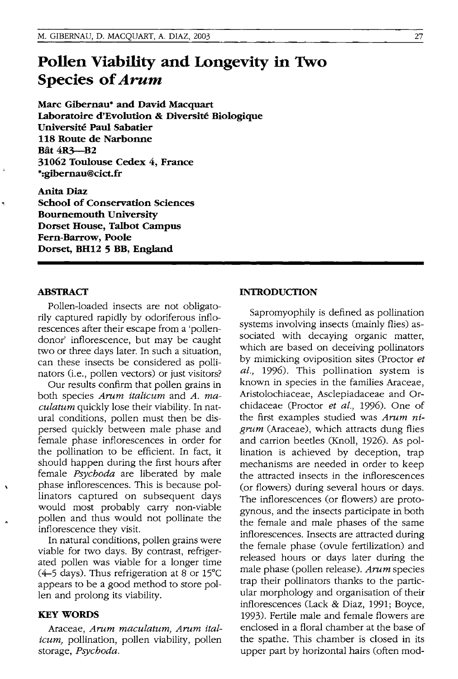# **Pollen Viability and Longevity in Two Species of Arum**

**Marc Gibernau\* and David Macquart Laboratoire d'Evolution & Diversite Biologique Universite Paul Sabatier 118 Route de Narbonne Bat 4R3--B2 31062 Toulouse Cedex 4, France \*:gibernau@cict.fr** 

**Anita Diaz School of Conservation Sciences Bournemouth University Dorset House, Talbot Campus Fern-Barrow, Poole Dorset, BH12 5 BB, England** 

#### **ABSTRACT**

Pollen-loaded insects are not obligatorily captured rapidly by odoriferous inflorescences after their escape from a 'pollendonor' inflorescence, but may be caught two or three days later. In such a situation, can these insects be considered as pollinators (i.e., pollen vectors) or just visitors?

Our results confirm that pollen grains in both species *Arum italicum* and *A. maculatum* quickly lose their viability. In natural conditions, pollen must then be dispersed quickly between male phase and female phase inflorescences in order for the pollination to be efficient. In fact, it should happen during the first hours after female *psychoda* are liberated by male phase inflorescences. This is because pollinators captured on subsequent days would most probably carry non-viable pollen and thus would not pollinate the inflorescence they visit.

In natural conditions, pollen grains were viable for two days. By contrast, refrigerated pollen was viable for a longer time (4-5 days). Thus refrigeration at 8 or 15°C appears to be a good method to store pollen and prolong its viability.

#### **KEY WORDS**

Araceae, *Arum maculatum, Arum italicum,* pollination, pollen viability, pollen storage, *Psychoda.* 

#### **INTRODUCTION**

Sapromyophily is defined as pollination systems involving insects (mainly flies) associated with decaying organic matter, which are based on deceiving pollinators by mimicking oviposition sites (Proctor *et al.,* 1996). This pollination system is known in species in the families Araceae, Aristolochiaceae, Asclepiadaceae and Orchidaceae (Proctor *et al.,* 1996). One of the first examples studied was *Arum nigrum* (Araceae), which attracts dung flies and carrion beetles (Knoll, 1926). As pollination is achieved by deception, trap mechanisms are needed in order to keep the attracted insects in the inflorescences (or flowers) during several hours or days. The inflorescences (or flowers) are protogynous, and the insects participate in both the female and male phases of the same inflorescences. Insects are attracted during the female phase (ovule fertilization) and released hours or days later during the male phase (pollen release). *Arum* species trap their pollinators thanks to the particular morphology and organisation of their inflorescences (Lack & Diaz, 1991; Boyce, 1993). Fertile male and female flowers are enclosed in a floral chamber at the base of the spathe. This chamber is closed in its upper part by horizontal hairs (often mod-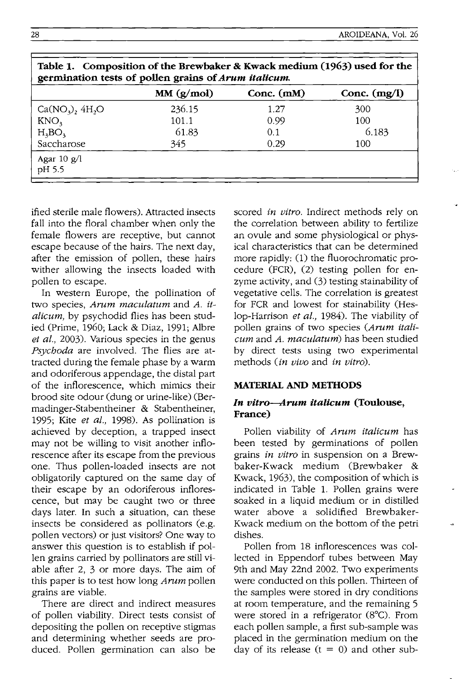| Table 1. Composition of the Brewbaker & Kwack medium (1963) used for the<br>germination tests of pollen grains of <i>Arum italicum</i> . |              |                |
|------------------------------------------------------------------------------------------------------------------------------------------|--------------|----------------|
| MM (g/mol)                                                                                                                               | Conc. $(mM)$ | Conc. $(mg/l)$ |
| 236.15                                                                                                                                   | 1.27         | 300            |
| 101.1                                                                                                                                    | 0.99         | 100            |
| 61.83                                                                                                                                    | 0.1          | 6.183          |
| 345                                                                                                                                      | 0.29         | 100            |
|                                                                                                                                          |              |                |
|                                                                                                                                          |              |                |

**Table 1. Composition of the Brewbaker & Kwack medium (1963) used for the** 

ified sterile male flowers). Attracted insects fall into the floral chamber when only the female flowers are receptive, but cannot escape because of the hairs. The next day, after the emission of pollen, these hairs wither allowing the insects loaded with pollen to escape.

In western Europe, the pollination of two species, *Arum macutatum* and *A.* it*alicum,* by psychodid flies has been studied (Prime, 1960; Lack & Diaz, 1991; Albre *et al.,* 2003). Various species in the genus *Psycboda* are involved. The flies are attracted during the female phase by a warm and odoriferous appendage, the distal part of the inflorescence, which mimics their brood site odour (dung or urine-like) (Bermadinger-Stabentheiner & Stabentheiner, 1995; Kite *et at.,* 1998). As pollination is achieved by deception, a trapped insect may not be willing to visit another inflorescence after its escape from the previous one. Thus pollen-loaded insects are not obligatorily captured on the same day of their escape by an odoriferous inflorescence, but may be caught two or three days later. In such a situation, can these insects be considered as pollinators (e.g. pollen vectors) or just visitors? One way to answer this question is to establish if pollen grains carried by pollinators are still viable after 2, 3 or more days. The aim of this paper is to test how long *Arum* pollen grains are viable.

There are direct and indirect measures of pollen viability. Direct tests consist of depositing the pollen on receptive stigmas and determining whether seeds are produced. Pollen germination can also be scored *in vitro.* Indirect methods rely on the correlation between ability to fertilize an ovule and some physiological or physical characteristics that can be determined more rapidly: (1) the fluorochromatic procedure (FCR) , (2) testing pollen for enzyme activity, and (3) testing stainability of vegetative cells. The correlation is greatest for FCR and lowest for stainability (Heslop-Harrison *et at.,* 1984). The viability of pollen grains of two species *(Arum italicum* and *A. macutatum)* has been studied by direct tests using two experimental methods *(in vivo* and *in vitro).* 

### **MATERIAL AND METIIODS**

## In vitro-Arum italicum (Toulouse, **Franee)**

Pollen viability of *Arum italicum* has been tested by germinations of pollen grains *in vitro* in suspension on a Brewbaker-Kwack medium (Brewbaker & Kwack, 1963), the composition of which is indicated in Table 1. Pollen grains were soaked in a liquid medium or in distilled water above a solidified Brewbaker-Kwack medium on the bottom of the petri dishes.

Pollen from 18 inflorescences was collected in Eppendorf tubes between May 9th and May 22nd 2002. Two experiments were conducted on this pollen. Thirteen of the samples were stored in dry conditions at room temperature, and the remaining 5 were stored in a refrigerator (8°C). From each pollen sample, a first sub-sample was placed in the germination medium on the day of its release  $(t = 0)$  and other sub-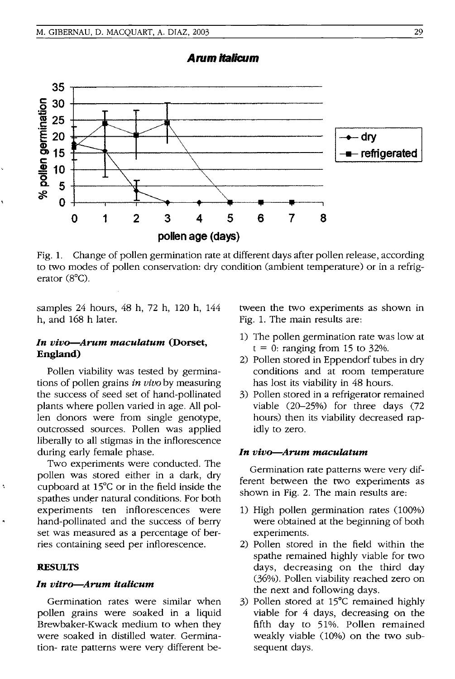

#### **Arum italicum**

Fig. 1. Change of pollen germination rate at different days after pollen release, according to two modes of pollen conservation: dry condition (ambient temperature) or in a refrigerator (8°C).

samples 24 hours, 48 h, 72 h, 120 h, 144 h, and 168 h later.

#### *In vivo-Arum maculatum* **(Dorset, England)**

Pollen viability was tested by germinations of pollen grains *in vivo* by measuring the success of seed set of hand-pollinated plants where pollen varied in age. All pollen donors were from single genotype, outcrossed sources. Pollen was applied liberally to all stigmas in the inflorescence during early female phase.

Two experiments were conducted. The pollen was stored either in a dark, dry cupboard at 15°C or in the field inside the spathes under natural conditions. For both experiments ten inflorescences were hand-pollinated and the success of berry set was measured as a percentage of berries containing seed per inflorescence.

#### **RESULTS**

#### *In vitro-Arum italicum*

Germination rates were similar when pollen grains were soaked in a liquid Brewbaker-Kwack medium to when they were soaked in distilled water. Germination- rate patterns were very different between the two experiments as shown in Fig. 1. The main results are:

- 1) The pollen germination rate was low at  $t = 0$ : ranging from 15 to 32%.
- 2) Pollen stored in Eppendorf tubes in dry conditions and at room temperature has lost its viability in 48 hours.
- 3) Pollen stored in a refrigerator remained viable (20-25%) for three days (72 hours) then its viability decreased rapidly to zero.

#### *In vivo-Arum maculatum*

Germination rate patterns were very different between the two experiments as shown in Fig. 2. The main results are:

- 1) High pollen germination rates (100%) were obtained at the beginning of both experiments.
- 2) Pollen stored in the field within the spathe remained highly viable for two days, decreasing on the third day (36%). Pollen viability reached zero on the next and following days.
- 3) Pollen stored at 15°C remained highly viable for 4 days, decreasing on the fifth day to 51%. Pollen remained weakly viable (10%) on the two subsequent days.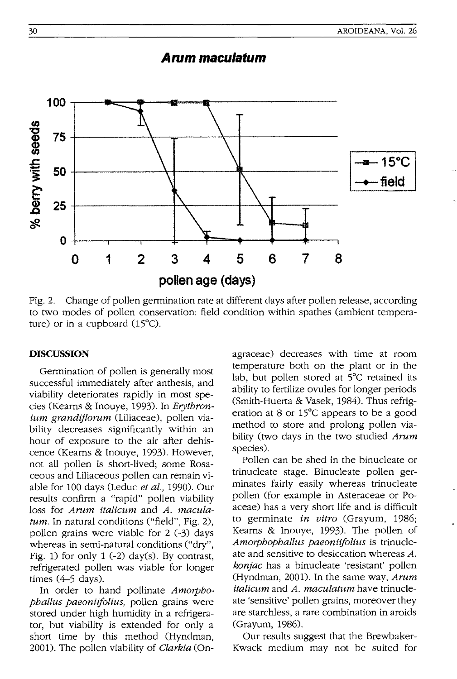

# **Arum maculatum**

Fig. 2. Change of pollen germination rate at different days after pollen release, according to two modes of pollen conservation: field condition within spathes (ambient temperature) or in a cupboard  $(15^{\circ}C)$ .

#### **DISCUSSION**

Germination of pollen is generally most successful immediately after anthesis, and viability deteriorates rapidly in most species (Kearns & Inouye, 1993). In *Erythronium grandiflorum* (Liliaceae), pollen viability decreases significantly within an hour of exposure to the air after dehiscence (Kearns & Inouye, 1993). However, not all pollen is short-lived; some Rosaceous and Liliaceous pollen can remain viable for 100 days (Leduc *et al.,* 1990). Our results confirm a "rapid" pollen viability loss for *Arum italicum* and *A. maculatum.* In natural conditions ("field", Fig. 2), pollen grains were viable for 2 (-3) days whereas in semi-natural conditions ("dry", Fig. 1) for only 1  $(-2)$  day(s). By contrast, refrigerated pollen was viable for longer times  $(4-5$  days).

In order to hand pollinate *Amorphophallus paeoniifolius,* pollen grains were stored under high humidity in a refrigerator, but viability is extended for only a short time by this method (Hyndman, 2001). The pollen viability of *Clarkia* (Onagraceae) decreases with time at room temperature both on the plant or in the lab, but pollen stored at 5°C retained its ability to fertilize ovules for longer periods (Smith-Huerta & Vasek, 1984). Thus refrigeration at 8 or 15°C appears to be a good method to store and prolong pollen viability (two days in the two studied *Arum*  species).

Pollen can be shed in the binucleate or trinucleate stage. Binucleate pollen germinates fairly easily whereas trinucleate pollen (for example in Asteraceae or Poaceae) has a very short life and is difficult to germinate *in vitro* (Grayum, 1986; Kearns & Inouye, 1993). The pollen of *Amorphophallus paeoniifolius* is trinucleate and sensitive to desiccation whereas *A. konjac* has a binucleate 'resistant' pollen (Hyndman, 2001). In the same way, *Arum italicum* and *A. maculatum* have trinucleate 'sensitive' pollen grains, moreover they are starchless, a rare combination in aroids (Grayum, 1986).

Our results suggest that the Brewbaker-Kwack medium may not be suited for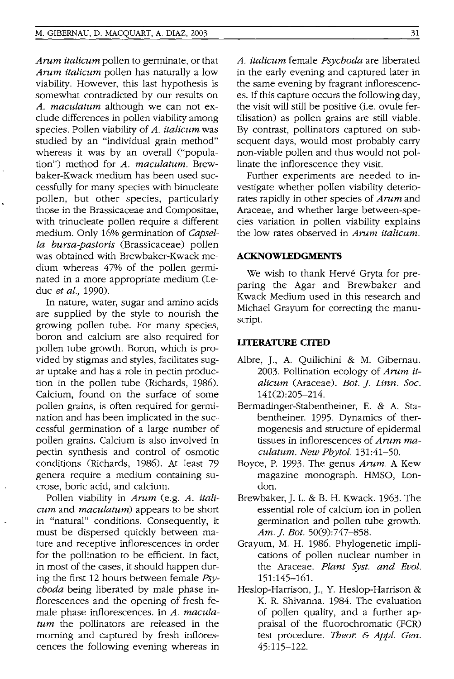*Arum italicum* pollen to germinate, or that *Arum italicum* pollen has naturally a low viability. However, this last hypothesis is somewhat contradicted by our results on *A. maculatum* although we can not exclude differences in pollen viability among species. Pollen viability of *A. italicum* was studied by an "individual grain method" whereas it was by an overall ("population") method for *A. maculatum.* Brewbaker-Kwack medium has been used successfully for many species with binucleate pollen, but other species, particularly those in the Brassicaceae and Compositae, with trinucleate pollen require a different medium. Only 16% germination of *Capsella bursa-pastoris* (Brassicaceae) pollen was obtained with Brewbaker-Kwack medium whereas 47% of the pollen germinated in a more appropriate medium (Leduc *et al., 1990).* 

**In** nature, water, sugar and amino acids are supplied by the style to nourish the growing pollen tube. For many species, boron and calcium are also required for pollen tube growth. Boron, which is provided by stigmas and styles, facilitates sugar uptake and has a role in pectin production in the pollen tube (Richards, 1986). Calcium, found on the surface of some pollen grains, is often required for germination and has been implicated in the successful germination of a large number of pollen grains. Calcium is also involved in pectin synthesis and control of osmotic conditions (Richards, 1986). At least 79 genera require a medium containing sucrose, boric acid, and calcium.

Pollen viability in *Arum* (e.g. *A. italicum* and *maculatum)* appears to be short in "natural" conditions. Consequently, it must be dispersed quickly between mature and receptive inflorescences in order for the pollination to be efficient. **In** fact, in most of the cases, it should happen during the first 12 hours between female *Psychoda* being liberated by male phase inflorescences and the opening of fresh female phase inflorescences. **In** *A. maculatum* the pollinators are released in the morning and captured by fresh inflorescences the following evening whereas in

*A. italicum* female *Psychoda* are liberated in the early evening and captured later in the same evening by fragrant inflorescences. **If** this capture occurs the following day, the visit will still be positive (i.e. ovule fertilisation) as pollen grains are still viable. By contrast, pollinators captured on subsequent days, would most probably carry non-viable pollen and thus would not pollinate the inflorescence they visit.

Further experiments are needed to investigate whether pollen viability deteriorates rapidly in other species of *Arum* and Araceae, and whether large between-species variation in pollen viability explains the low rates observed in *Arum italicum.* 

#### **ACKNOWLEDGMENTS**

We wish to thank Hervé Gryta for preparing the Agar and Brewbaker and Kwack Medium used in this research and Michael Grayum for correcting the manuscript.

#### **UTERATURE CITED**

- Albre, ]., A. Quilichini & M. Gibernau. 2003. Pollination ecology of *Arum italicum* (Araceae). *Bot.* j. *Linn. Soc.*  141(2):205-214.
- Bermadinger-Stabentheiner, E. & A. Stabentheiner. 1995. Dynamics of thermogenesis and structure of epidermal tissues in inflorescences of *Arum maculatum. New Phytol. 131:41-50.*
- Boyce, P. 1993. The genus *Arum.* A Kew magazine monograph. HMSO, London.
- Brewbaker,]. 1. & B. H. Kwack. 1963. The essential role of calcium ion in pollen germination and pollen tube growth. *Am. J. Bot.* 50(9):747-858.
- Grayum, M. H. 1986. Phylogenetic implications of pollen nuclear number in the Araceae. *Plant Syst. and Evol.*  151:145-161.
- Heslop-Harrison, J., Y. Heslop-Harrison & K. R. Shivanna. 1984. The evaluation of pollen quality, and a further appraisal of the fluorochromatic (FCR) test procedure. *Theor.* & *Appl. Gen.*  45:115-122.